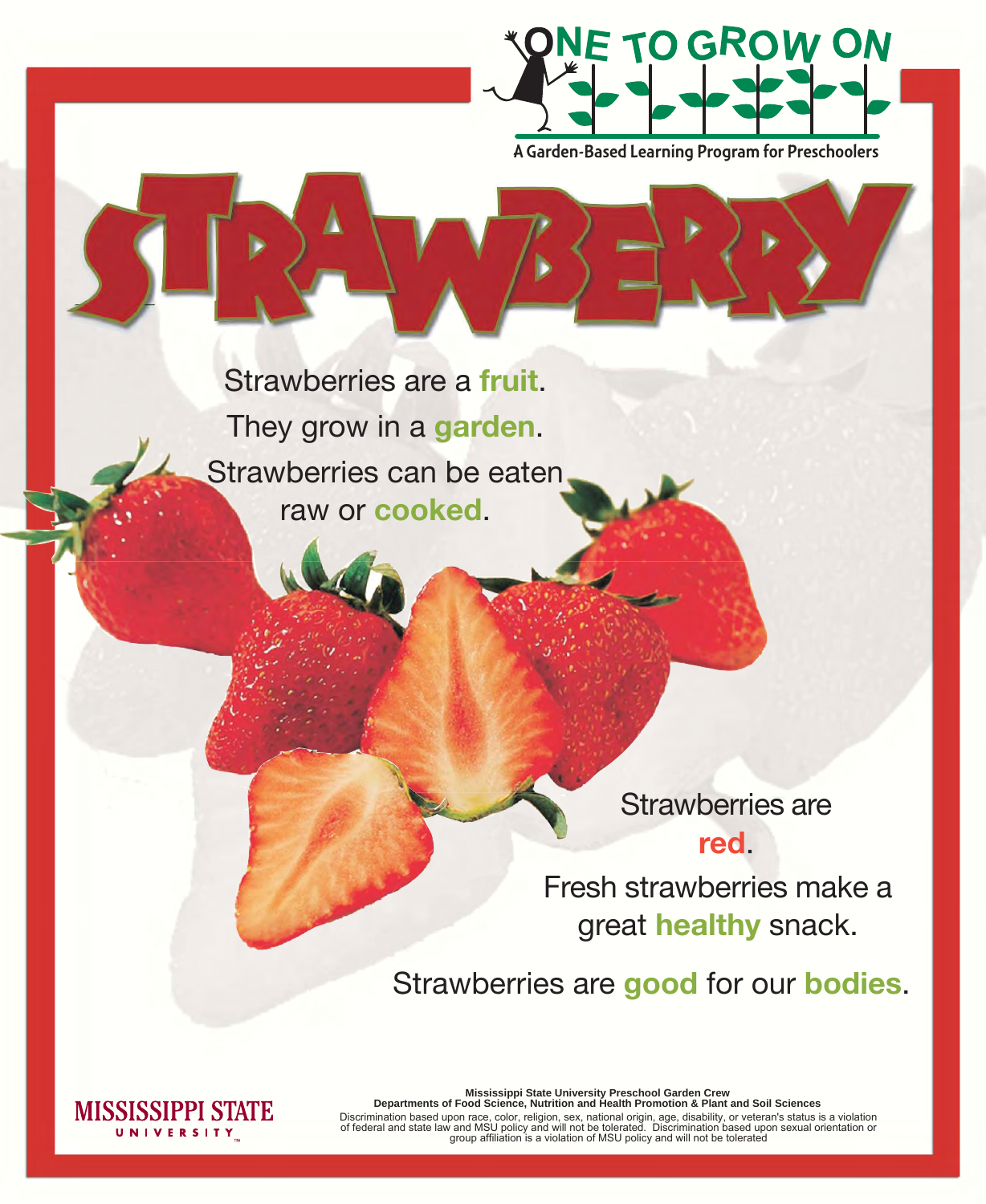**Mississippi State University Preschool Garden Crew Departments of Food Science, Nutrition and Health Promotion & Plant and Soil Sciences**

Discrimination based upon race, color, religion, sex, national origin, age, disability, or veteran's status is a violation of federal and state law and MSU policy and will not be tolerated. Discrimination based upon sexual orientation or group affiliation is a violation of MSU policy and will not be tolerated

Strawberries are a **fruit**. They grow in a **garden**. Strawberries can be eaten raw or **cooked**.

## Strawberries are **red**. Fresh strawberries make a great **healthy** snack.

## Strawberries are **good** for our **bodies**.





A Garden-Based Learning Program for Preschoolers